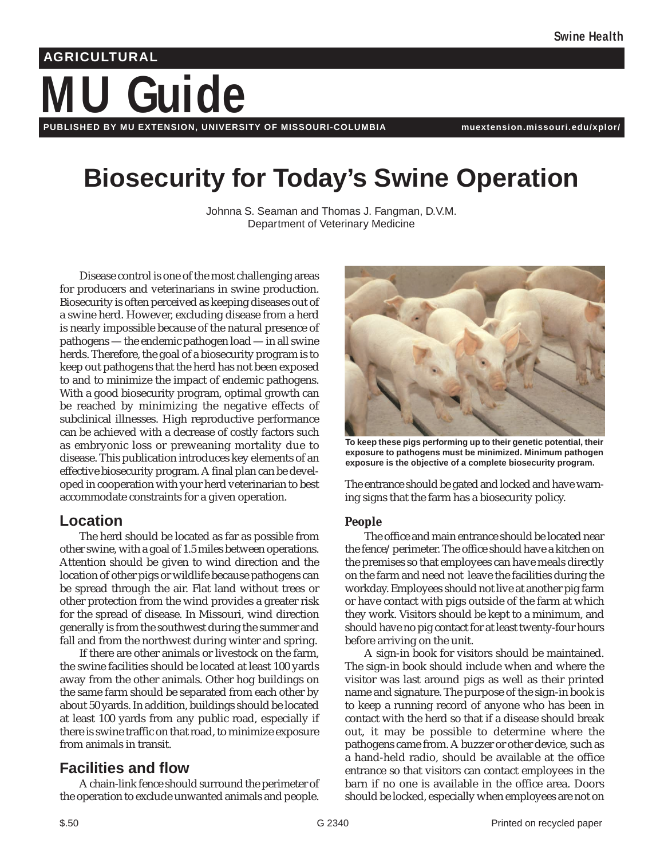## **MU Guide AGRICULTURAL PUBLISHED BY MU EXTENSION, UNIVERSITY OF MISSOURI-COLUMBIA muextension.missouri.edu/xplor/**

# **Biosecurity for Today's Swine Operation**

Johnna S. Seaman and Thomas J. Fangman, D.V.M. Department of Veterinary Medicine

Disease control is one of the most challenging areas for producers and veterinarians in swine production. Biosecurity is often perceived as keeping diseases out of a swine herd. However, excluding disease from a herd is nearly impossible because of the natural presence of pathogens — the endemic pathogen load — in all swine herds. Therefore, the goal of a biosecurity program is to keep out pathogens that the herd has not been exposed to and to minimize the impact of endemic pathogens. With a good biosecurity program, optimal growth can be reached by minimizing the negative effects of subclinical illnesses. High reproductive performance can be achieved with a decrease of costly factors such as embryonic loss or preweaning mortality due to disease. This publication introduces key elements of an effective biosecurity program. A final plan can be developed in cooperation with your herd veterinarian to best accommodate constraints for a given operation.

### **Location**

The herd should be located as far as possible from other swine, with a goal of 1.5 miles between operations. Attention should be given to wind direction and the location of other pigs or wildlife because pathogens can be spread through the air. Flat land without trees or other protection from the wind provides a greater risk for the spread of disease. In Missouri, wind direction generally is from the southwest during the summer and fall and from the northwest during winter and spring.

If there are other animals or livestock on the farm, the swine facilities should be located at least 100 yards away from the other animals. Other hog buildings on the same farm should be separated from each other by about 50 yards. In addition, buildings should be located at least 100 yards from any public road, especially if there is swine traffic on that road, to minimize exposure from animals in transit.

## **Facilities and flow**

A chain-link fence should surround the perimeter of the operation to exclude unwanted animals and people.



**To keep these pigs performing up to their genetic potential, their exposure to pathogens must be minimized. Minimum pathogen exposure is the objective of a complete biosecurity program.** 

The entrance should be gated and locked and have warning signs that the farm has a biosecurity policy.

#### **People**

The office and main entrance should be located near the fence/perimeter. The office should have a kitchen on the premises so that employees can have meals directly on the farm and need not leave the facilities during the workday. Employees should not live at another pig farm or have contact with pigs outside of the farm at which they work. Visitors should be kept to a minimum, and should have no pig contact for at least twenty-four hours before arriving on the unit.

A sign-in book for visitors should be maintained. The sign-in book should include when and where the visitor was last around pigs as well as their printed name and signature. The purpose of the sign-in book is to keep a running record of anyone who has been in contact with the herd so that if a disease should break out, it may be possible to determine where the pathogens came from. A buzzer or other device, such as a hand-held radio, should be available at the office entrance so that visitors can contact employees in the barn if no one is available in the office area. Doors should be locked, especially when employees are not on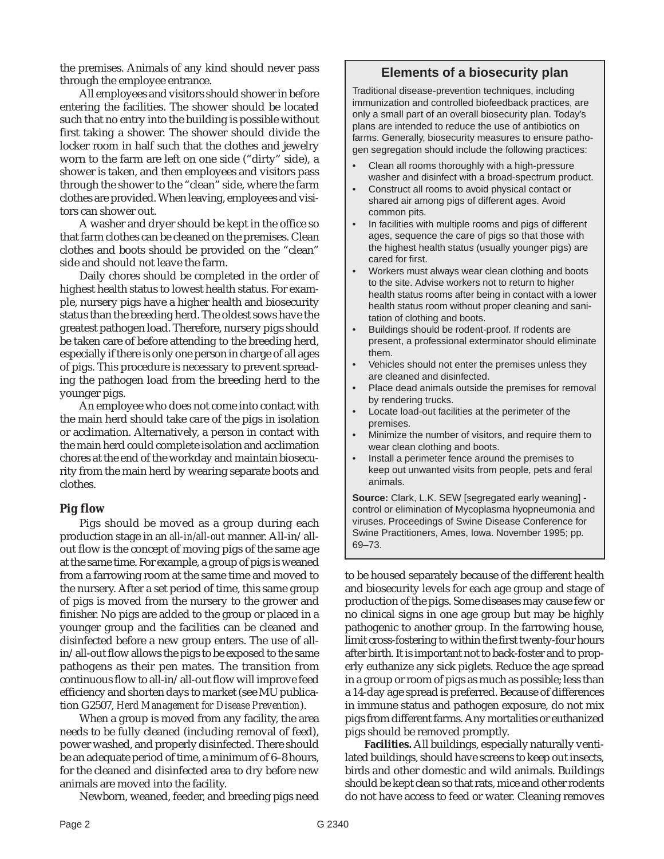the premises. Animals of any kind should never pass through the employee entrance.

All employees and visitors should shower in before entering the facilities. The shower should be located such that no entry into the building is possible without first taking a shower. The shower should divide the locker room in half such that the clothes and jewelry worn to the farm are left on one side ("dirty" side), a shower is taken, and then employees and visitors pass through the shower to the "clean" side, where the farm clothes are provided. When leaving, employees and visitors can shower out.

A washer and dryer should be kept in the office so that farm clothes can be cleaned on the premises. Clean clothes and boots should be provided on the "clean" side and should not leave the farm.

Daily chores should be completed in the order of highest health status to lowest health status. For example, nursery pigs have a higher health and biosecurity status than the breeding herd. The oldest sows have the greatest pathogen load. Therefore, nursery pigs should be taken care of before attending to the breeding herd, especially if there is only one person in charge of all ages of pigs. This procedure is necessary to prevent spreading the pathogen load from the breeding herd to the younger pigs.

An employee who does not come into contact with the main herd should take care of the pigs in isolation or acclimation. Alternatively, a person in contact with the main herd could complete isolation and acclimation chores at the end of the workday and maintain biosecurity from the main herd by wearing separate boots and clothes.

#### **Pig flow**

Pigs should be moved as a group during each production stage in an *all-in/all-out* manner. All-in/allout flow is the concept of moving pigs of the same age at the same time. For example, a group of pigs is weaned from a farrowing room at the same time and moved to the nursery. After a set period of time, this same group of pigs is moved from the nursery to the grower and finisher. No pigs are added to the group or placed in a younger group and the facilities can be cleaned and disinfected before a new group enters. The use of allin/all-out flow allows the pigs to be exposed to the same pathogens as their pen mates. The transition from continuous flow to all-in/all-out flow will improve feed efficiency and shorten days to market (see MU publication G2507, *Herd Management for Disease Prevention*).

When a group is moved from any facility, the area needs to be fully cleaned (including removal of feed), power washed, and properly disinfected. There should be an adequate period of time, a minimum of 6–8 hours, for the cleaned and disinfected area to dry before new animals are moved into the facility.

Newborn, weaned, feeder, and breeding pigs need

#### **Elements of a biosecurity plan**

Traditional disease-prevention techniques, including immunization and controlled biofeedback practices, are only a small part of an overall biosecurity plan. Today's plans are intended to reduce the use of antibiotics on farms. Generally, biosecurity measures to ensure pathogen segregation should include the following practices:

- Clean all rooms thoroughly with a high-pressure washer and disinfect with a broad-spectrum product.
- Construct all rooms to avoid physical contact or shared air among pigs of different ages. Avoid common pits.
- In facilities with multiple rooms and pigs of different ages, sequence the care of pigs so that those with the highest health status (usually younger pigs) are cared for first.
- Workers must always wear clean clothing and boots to the site. Advise workers not to return to higher health status rooms after being in contact with a lower health status room without proper cleaning and sanitation of clothing and boots.
- Buildings should be rodent-proof. If rodents are present, a professional exterminator should eliminate them.
- Vehicles should not enter the premises unless they are cleaned and disinfected.
- Place dead animals outside the premises for removal by rendering trucks.
- Locate load-out facilities at the perimeter of the premises.
- Minimize the number of visitors, and require them to wear clean clothing and boots.
- Install a perimeter fence around the premises to keep out unwanted visits from people, pets and feral animals.

**Source:** Clark, L.K. SEW [segregated early weaning] control or elimination of Mycoplasma hyopneumonia and viruses. Proceedings of Swine Disease Conference for Swine Practitioners, Ames, Iowa. November 1995; pp. 69–73.

to be housed separately because of the different health and biosecurity levels for each age group and stage of production of the pigs. Some diseases may cause few or no clinical signs in one age group but may be highly pathogenic to another group. In the farrowing house, limit cross-fostering to within the first twenty-four hours after birth. It is important not to back-foster and to properly euthanize any sick piglets. Reduce the age spread in a group or room of pigs as much as possible; less than a 14-day age spread is preferred. Because of differences in immune status and pathogen exposure, do not mix pigs from different farms. Any mortalities or euthanized pigs should be removed promptly.

**Facilities.** All buildings, especially naturally ventilated buildings, should have screens to keep out insects, birds and other domestic and wild animals. Buildings should be kept clean so that rats, mice and other rodents do not have access to feed or water. Cleaning removes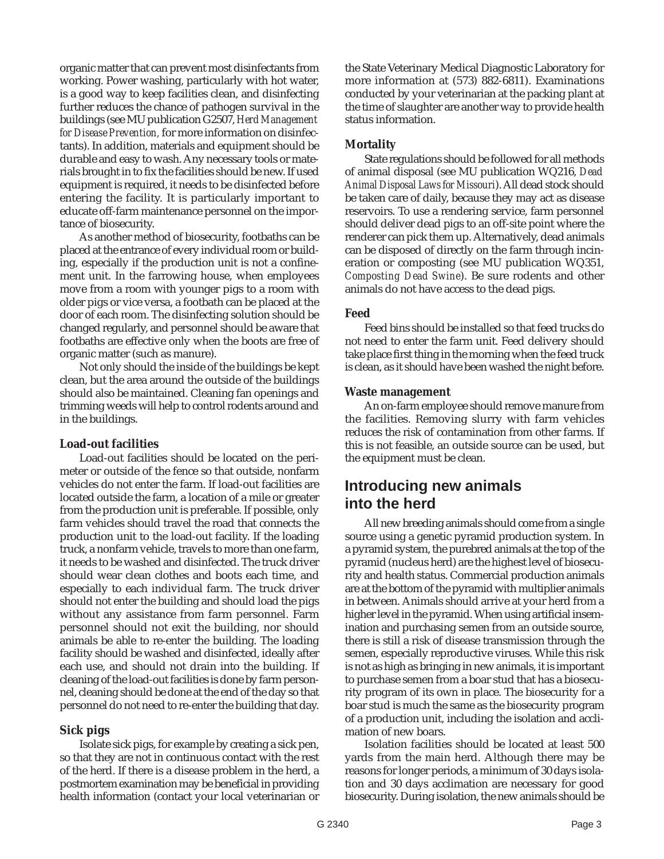organic matter that can prevent most disinfectants from working. Power washing, particularly with hot water, is a good way to keep facilities clean, and disinfecting further reduces the chance of pathogen survival in the buildings (see MU publication G2507, *Herd Management for Disease Prevention,* for more information on disinfectants). In addition, materials and equipment should be durable and easy to wash. Any necessary tools or materials brought in to fix the facilities should be new. If used equipment is required, it needs to be disinfected before entering the facility. It is particularly important to educate off-farm maintenance personnel on the importance of biosecurity.

As another method of biosecurity, footbaths can be placed at the entrance of every individual room or building, especially if the production unit is not a confinement unit. In the farrowing house, when employees move from a room with younger pigs to a room with older pigs or vice versa, a footbath can be placed at the door of each room. The disinfecting solution should be changed regularly, and personnel should be aware that footbaths are effective only when the boots are free of organic matter (such as manure).

Not only should the inside of the buildings be kept clean, but the area around the outside of the buildings should also be maintained. Cleaning fan openings and trimming weeds will help to control rodents around and in the buildings.

#### **Load-out facilities**

Load-out facilities should be located on the perimeter or outside of the fence so that outside, nonfarm vehicles do not enter the farm. If load-out facilities are located outside the farm, a location of a mile or greater from the production unit is preferable. If possible, only farm vehicles should travel the road that connects the production unit to the load-out facility. If the loading truck, a nonfarm vehicle, travels to more than one farm, it needs to be washed and disinfected. The truck driver should wear clean clothes and boots each time, and especially to each individual farm. The truck driver should not enter the building and should load the pigs without any assistance from farm personnel. Farm personnel should not exit the building, nor should animals be able to re-enter the building. The loading facility should be washed and disinfected, ideally after each use, and should not drain into the building. If cleaning of the load-out facilities is done by farm personnel, cleaning should be done at the end of the day so that personnel do not need to re-enter the building that day.

#### **Sick pigs**

Isolate sick pigs, for example by creating a sick pen, so that they are not in continuous contact with the rest of the herd. If there is a disease problem in the herd, a postmortem examination may be beneficial in providing health information (contact your local veterinarian or

the State Veterinary Medical Diagnostic Laboratory for more information at (573) 882-6811). Examinations conducted by your veterinarian at the packing plant at the time of slaughter are another way to provide health status information.

#### **Mortality**

State regulations should be followed for all methods of animal disposal (see MU publication WQ216, *Dead Animal Disposal Laws for Missouri*). All dead stock should be taken care of daily, because they may act as disease reservoirs. To use a rendering service, farm personnel should deliver dead pigs to an off-site point where the renderer can pick them up. Alternatively, dead animals can be disposed of directly on the farm through incineration or composting (see MU publication WQ351, *Composting Dead Swine*). Be sure rodents and other animals do not have access to the dead pigs.

#### **Feed**

Feed bins should be installed so that feed trucks do not need to enter the farm unit. Feed delivery should take place first thing in the morning when the feed truck is clean, as it should have been washed the night before.

#### **Waste management**

An on-farm employee should remove manure from the facilities. Removing slurry with farm vehicles reduces the risk of contamination from other farms. If this is not feasible, an outside source can be used, but the equipment must be clean.

## **Introducing new animals into the herd**

All new breeding animals should come from a single source using a genetic pyramid production system. In a pyramid system, the purebred animals at the top of the pyramid (nucleus herd) are the highest level of biosecurity and health status. Commercial production animals are at the bottom of the pyramid with multiplier animals in between. Animals should arrive at your herd from a higher level in the pyramid. When using artificial insemination and purchasing semen from an outside source, there is still a risk of disease transmission through the semen, especially reproductive viruses. While this risk is not as high as bringing in new animals, it is important to purchase semen from a boar stud that has a biosecurity program of its own in place. The biosecurity for a boar stud is much the same as the biosecurity program of a production unit, including the isolation and acclimation of new boars.

Isolation facilities should be located at least 500 yards from the main herd. Although there may be reasons for longer periods, a minimum of 30 days isolation and 30 days acclimation are necessary for good biosecurity. During isolation, the new animals should be